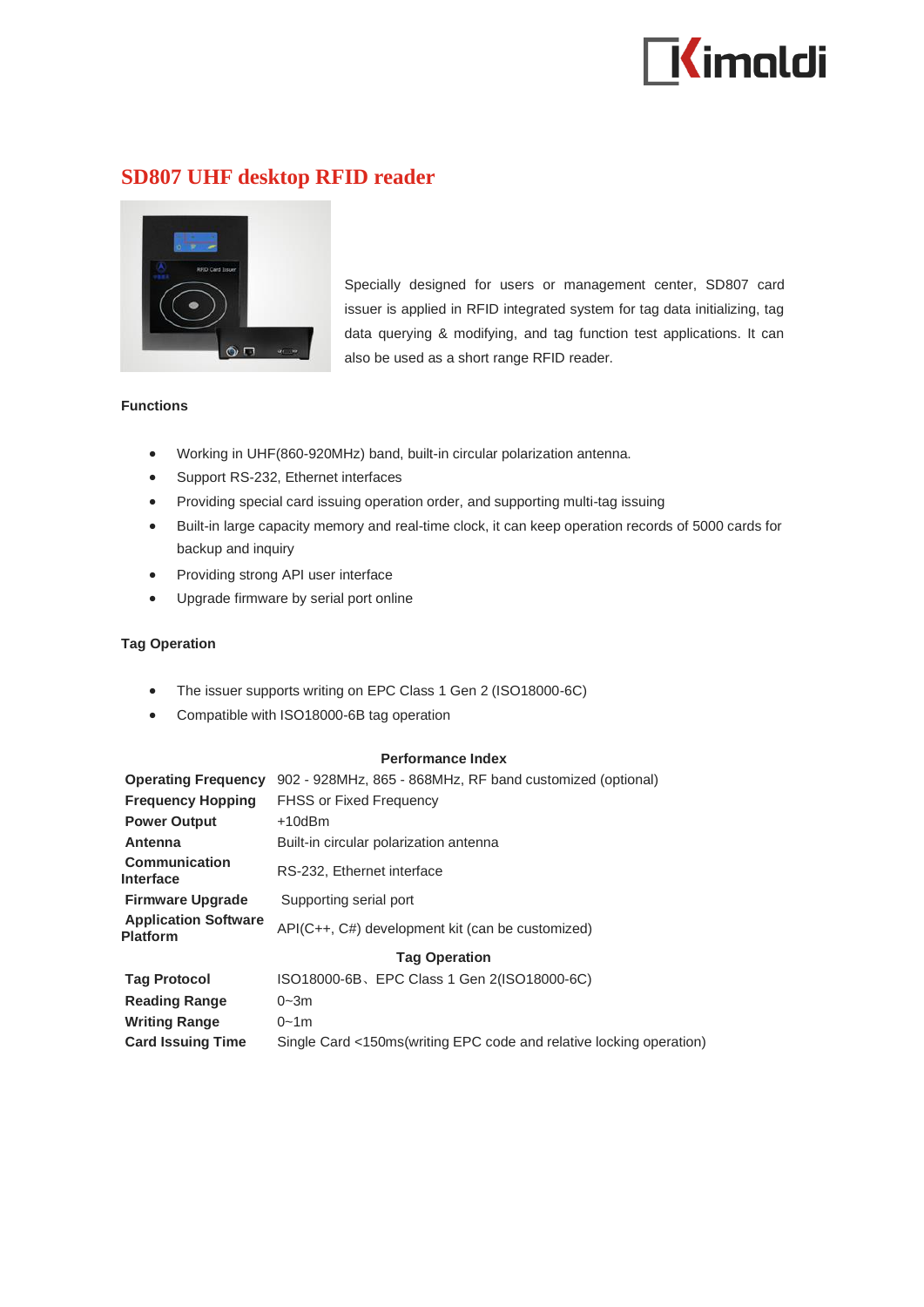

# **SD807 UHF desktop RFID reader**



Specially designed for users or management center, SD807 card issuer is applied in RFID integrated system for tag data initializing, tag data querying & modifying, and tag function test applications. It can also be used as a short range RFID reader.

## **Functions**

- Working in UHF(860-920MHz) band, built-in circular polarization antenna.
- Support RS-232, Ethernet interfaces
- Providing special card issuing operation order, and supporting multi-tag issuing
- Built-in large capacity memory and real-time clock, it can keep operation records of 5000 cards for backup and inquiry
- Providing strong API user interface
- Upgrade firmware by serial port online

## **Tag Operation**

- The issuer supports writing on EPC Class 1 Gen 2 (ISO18000-6C)
- Compatible with ISO18000-6B tag operation

#### **Performance Index**

**Operating Frequency** 902 - 928MHz, 865 - 868MHz, RF band customized (optional) **Frequency Hopping** FHSS or Fixed Frequency **Power Output** +10dBm **Antenna** Built-in circular polarization antenna **Communication Interface** RS-232, Ethernet interface **Firmware Upgrade** Supporting serial port **Application Software Platform Platform** API(C++, C#) development kit (can be customized) **Tag Operation Tag Protocol** ISO18000-6B、EPC Class 1 Gen 2(ISO18000-6C) **Reading Range** 0~3m **Writing Range** 0~1m **Card Issuing Time** Single Card <150ms(writing EPC code and relative locking operation)